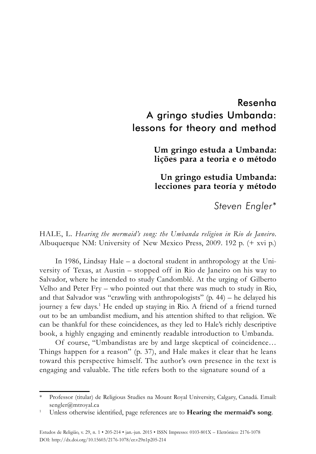## Resenha A gringo studies Umbanda: lessons for theory and method

**Um gringo estuda a Umbanda: lições para a teoria e o método** 

**Un gringo estudia Umbanda: lecciones para teoría y método** 

*Steven Engler\**

HALE, L. *Hearing the mermaid's song: the Umbanda religion in Rio de Janeiro*. Albuquerque NM: University of New Mexico Press, 2009. 192 p. (+ xvi p.)

In 1986, Lindsay Hale – a doctoral student in anthropology at the University of Texas, at Austin – stopped off in Rio de Janeiro on his way to Salvador, where he intended to study Candomblé. At the urging of Gilberto Velho and Peter Fry – who pointed out that there was much to study in Rio, and that Salvador was "crawling with anthropologists"  $(p. 44)$  – he delayed his journey a few days.<sup>1</sup> He ended up staying in Rio. A friend of a friend turned out to be an umbandist medium, and his attention shifted to that religion. We can be thankful for these coincidences, as they led to Hale's richly descriptive book, a highly engaging and eminently readable introduction to Umbanda.

Of course, "Umbandistas are by and large skeptical of coincidence… Things happen for a reason" (p. 37), and Hale makes it clear that he leans toward this perspective himself. The author's own presence in the text is engaging and valuable. The title refers both to the signature sound of a

<sup>\*</sup> Professor (titular) de Religious Studies na Mount Royal University, Calgary, Canadá. Email: sengler@mtroyal.ca

<sup>1</sup> Unless otherwise identified, page references are to **Hearing the mermaid's song**.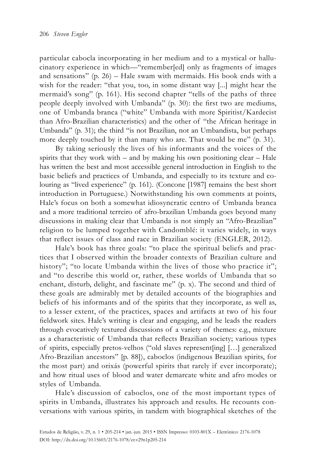particular cabocla incorporating in her medium and to a mystical or hallucinatory experience in which—"remember[ed] only as fragments of images and sensations" (p. 26) – Hale swam with mermaids. His book ends with a wish for the reader: "that you, too, in some distant way [...] might hear the mermaid's song" (p. 161). His second chapter "tells of the paths of three people deeply involved with Umbanda" (p. 30): the first two are mediums, one of Umbanda branca ("white" Umbanda with more Spiritist/Kardecist than Afro-Brazilian characteristics) and the other of "the African heritage in Umbanda" (p. 31); the third "is not Brazilian, not an Umbandista, but perhaps more deeply touched by it than many who are. That would be me" (p. 31).

By taking seriously the lives of his informants and the voices of the spirits that they work with  $-$  and by making his own positioning clear  $-$  Hale has written the best and most accessible general introduction in English to the basic beliefs and practices of Umbanda, and especially to its texture and colouring as "lived experience" (p. 161). (Concone [1987] remains the best short introduction in Portuguese.) Notwithstanding his own comments at points, Hale's focus on both a somewhat idiosyncratic centro of Umbanda branca and a more traditional terreiro of afro-brazilian Umbanda goes beyond many discussions in making clear that Umbanda is not simply an "Afro-Brazilian" religion to be lumped together with Candomblé: it varies widely, in ways that reflect issues of class and race in Brazilian society (ENGLER, 2012).

Hale's book has three goals: "to place the spiritual beliefs and practices that I observed within the broader contexts of Brazilian culture and history"; "to locate Umbanda within the lives of those who practice it"; and "to describe this world or, rather, these worlds of Umbanda that so enchant, disturb, delight, and fascinate me" (p. x). The second and third of these goals are admirably met by detailed accounts of the biographies and beliefs of his informants and of the spirits that they incorporate, as well as, to a lesser extent, of the practices, spaces and artifacts at two of his four fieldwork sites. Hale's writing is clear and engaging, and he leads the readers through evocatively textured discussions of a variety of themes: e.g., mixture as a characteristic of Umbanda that reflects Brazilian society; various types of spirits, especially pretos-velhos ("old slaves represent[ing] […] generalized Afro-Brazilian ancestors" [p. 88]), caboclos (indigenous Brazilian spirits, for the most part) and orixás (powerful spirits that rarely if ever incorporate); and how ritual uses of blood and water demarcate white and afro modes or styles of Umbanda.

Hale's discussion of caboclos, one of the most important types of spirits in Umbanda, illustrates his approach and results. He recounts conversations with various spirits, in tandem with biographical sketches of the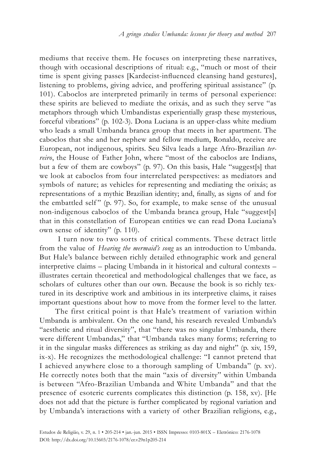mediums that receive them. He focuses on interpreting these narratives, though with occasional descriptions of ritual: e.g., "much or most of their time is spent giving passes [Kardecist-influenced cleansing hand gestures], listening to problems, giving advice, and proffering spiritual assistance" (p. 101). Caboclos are interpreted primarily in terms of personal experience: these spirits are believed to mediate the orixás, and as such they serve "as metaphors through which Umbandistas experientially grasp these mysterious, forceful vibrations" (p. 102-3). Dona Luciana is an upper-class white medium who leads a small Umbanda branca group that meets in her apartment. The caboclos that she and her nephew and fellow medium, Ronaldo, receive are European, not indigenous, spirits. Seu Silva leads a large Afro-Brazilian *terreiro*, the House of Father John, where "most of the caboclos are Indians, but a few of them are cowboys" (p. 97). On this basis, Hale "suggest[s] that we look at caboclos from four interrelated perspectives: as mediators and symbols of nature; as vehicles for representing and mediating the orixás; as representations of a mythic Brazilian identity; and, finally, as signs of and for the embattled self"  $(p. 97)$ . So, for example, to make sense of the unusual non-indigenous caboclos of the Umbanda branca group, Hale "suggest[s] that in this constellation of European entities we can read Dona Luciana's own sense of identity" (p. 110).

 I turn now to two sorts of critical comments. These detract little from the value of *Hearing the mermaid's song* as an introduction to Umbanda. But Hale's balance between richly detailed ethnographic work and general interpretive claims – placing Umbanda in it historical and cultural contexts – illustrates certain theoretical and methodological challenges that we face, as scholars of cultures other than our own. Because the book is so richly textured in its descriptive work and ambitious in its interpretive claims, it raises important questions about how to move from the former level to the latter.

The first critical point is that Hale's treatment of variation within Umbanda is ambivalent. On the one hand, his research revealed Umbanda's "aesthetic and ritual diversity", that "there was no singular Umbanda, there were different Umbandas," that "Umbanda takes many forms; referring to it in the singular masks differences as striking as day and night" (p. xiv, 159, ix-x). He recognizes the methodological challenge: "I cannot pretend that I achieved anywhere close to a thorough sampling of Umbanda" (p. xv). He correctly notes both that the main "axis of diversity" within Umbanda is between "Afro-Brazilian Umbanda and White Umbanda" and that the presence of esoteric currents complicates this distinction (p. 158, xv). [He does not add that the picture is further complicated by regional variation and by Umbanda's interactions with a variety of other Brazilian religions, e.g.,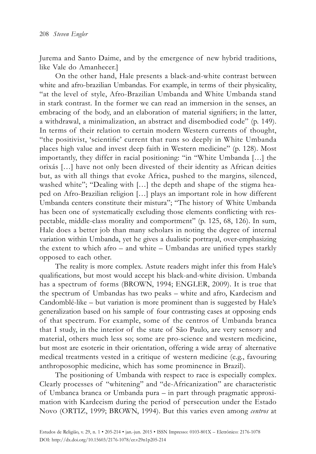Jurema and Santo Daime, and by the emergence of new hybrid traditions, like Vale do Amanhecer.]

On the other hand, Hale presents a black-and-white contrast between white and afro-brazilian Umbandas. For example, in terms of their physicality, "at the level of style, Afro-Brazilian Umbanda and White Umbanda stand in stark contrast. In the former we can read an immersion in the senses, an embracing of the body, and an elaboration of material signifiers; in the latter, a withdrawal, a minimalization, an abstract and disembodied code" (p. 149). In terms of their relation to certain modern Western currents of thought, "the positivist, 'scientific' current that runs so deeply in White Umbanda places high value and invest deep faith in Western medicine" (p. 128). Most importantly, they differ in racial positioning: "in "White Umbanda […] the orixás […] have not only been divested of their identity as African deities but, as with all things that evoke Africa, pushed to the margins, silenced, washed white"; "Dealing with [...] the depth and shape of the stigma heaped on Afro-Brazilian religion […] plays an important role in how different Umbanda centers constitute their mistura"; "The history of White Umbanda has been one of systematically excluding those elements conflicting with respectable, middle-class morality and comportment" (p. 125, 68, 126). In sum, Hale does a better job than many scholars in noting the degree of internal variation within Umbanda, yet he gives a dualistic portrayal, over-emphasizing the extent to which afro – and white – Umbandas are unified types starkly opposed to each other.

The reality is more complex. Astute readers might infer this from Hale's qualifications, but most would accept his black-and-white division. Umbanda has a spectrum of forms (BROWN, 1994; ENGLER, 2009). It is true that the spectrum of Umbandas has two peaks – white and afro, Kardecism and Candomblé-like – but variation is more prominent than is suggested by Hale's generalization based on his sample of four contrasting cases at opposing ends of that spectrum. For example, some of the centros of Umbanda branca that I study, in the interior of the state of São Paulo, are very sensory and material, others much less so; some are pro-science and western medicine, but most are esoteric in their orientation, offering a wide array of alternative medical treatments vested in a critique of western medicine (e.g., favouring anthroposophic medicine, which has some prominence in Brazil).

The positioning of Umbanda with respect to race is especially complex. Clearly processes of "whitening" and "de-Africanization" are characteristic of Umbanca branca or Umbanda pura – in part through pragmatic approximation with Kardecism during the period of persecution under the Estado Novo (ORTIZ, 1999; BROWN, 1994). But this varies even among *centros* at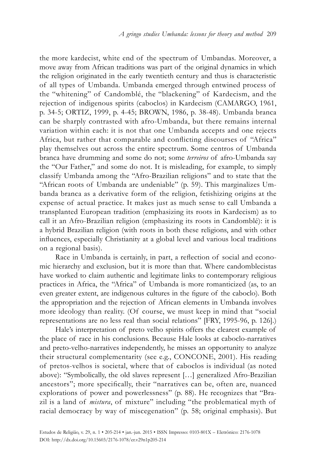the more kardecist, white end of the spectrum of Umbandas. Moreover, a move away from African traditions was part of the original dynamics in which the religion originated in the early twentieth century and thus is characteristic of all types of Umbanda. Umbanda emerged through entwined process of the "whitening" of Candomblé, the "blackening" of Kardecism, and the rejection of indigenous spirits (caboclos) in Kardecism (CAMARGO, 1961, p. 34-5; ORTIZ, 1999, p. 4-45; BROWN, 1986, p. 38-48). Umbanda branca can be sharply contrasted with afro-Umbanda, but there remains internal variation within each: it is not that one Umbanda accepts and one rejects Africa, but rather that comparable and conflicting discourses of "Africa" play themselves out across the entire spectrum. Some centros of Umbanda branca have drumming and some do not; some *terreiros* of afro-Umbanda say the "Our Father," and some do not. It is misleading, for example, to simply classify Umbanda among the "Afro-Brazilian religions" and to state that the "African roots of Umbanda are undeniable" (p. 59). This marginalizes Umbanda branca as a derivative form of the religion, fetishizing origins at the expense of actual practice. It makes just as much sense to call Umbanda a transplanted European tradition (emphasizing its roots in Kardecism) as to call it an Afro-Brazilian religion (emphasizing its roots in Candomblé): it is a hybrid Brazilian religion (with roots in both these religions, and with other influences, especially Christianity at a global level and various local traditions on a regional basis).

Race in Umbanda is certainly, in part, a reflection of social and economic hierarchy and exclusion, but it is more than that. Where candomblecistas have worked to claim authentic and legitimate links to contemporary religious practices in Africa, the "Africa" of Umbanda is more romanticized (as, to an even greater extent, are indigenous cultures in the figure of the caboclo). Both the appropriation and the rejection of African elements in Umbanda involves more ideology than reality. (Of course, we must keep in mind that "social representations are no less real than social relations" [FRY, 1995-96, p. 126].)

Hale's interpretation of preto velho spirits offers the clearest example of the place of race in his conclusions. Because Hale looks at caboclo-narratives and preto-velho-narratives independently, he misses an opportunity to analyze their structural complementarity (see e.g., CONCONE, 2001). His reading of pretos-velhos is societal, where that of caboclos is individual (as noted above): "Symbolically, the old slaves represent […] generalized Afro-Brazilian ancestors"; more specifically, their "narratives can be, often are, nuanced explorations of power and powerlessness" (p. 88). He recognizes that "Brazil is a land of *mistura*, of mixture" including "the problematical myth of racial democracy by way of miscegenation" (p. 58; original emphasis). But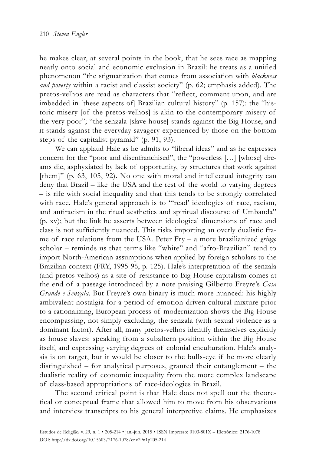he makes clear, at several points in the book, that he sees race as mapping neatly onto social and economic exclusion in Brazil: he treats as a unified phenomenon "the stigmatization that comes from association with *blackness and poverty* within a racist and classist society" (p. 62; emphasis added). The pretos-velhos are read as characters that "reflect, comment upon, and are imbedded in [these aspects of] Brazilian cultural history" (p. 157): the "historic misery [of the pretos-velhos] is akin to the contemporary misery of the very poor"; "the senzala [slave house] stands against the Big House, and it stands against the everyday savagery experienced by those on the bottom steps of the capitalist pyramid" (p. 91, 93).

We can applaud Hale as he admits to "liberal ideas" and as he expresses concern for the "poor and disenfranchised", the "powerless […] [whose] dreams die, asphyxiated by lack of opportunity, by structures that work against [them]" (p. 63, 105, 92). No one with moral and intellectual integrity can deny that Brazil – like the USA and the rest of the world to varying degrees – is rife with social inequality and that this tends to be strongly correlated with race. Hale's general approach is to "'read' ideologies of race, racism, and antiracism in the ritual aesthetics and spiritual discourse of Umbanda" (p. xv); but the link he asserts between ideological dimensions of race and class is not sufficiently nuanced. This risks importing an overly dualistic frame of race relations from the USA. Peter Fry – a more brazilianized *gringo* scholar – reminds us that terms like "white" and "afro-Brazilian" tend to import North-American assumptions when applied by foreign scholars to the Brazilian context (FRY, 1995-96, p. 125). Hale's interpretation of the senzala (and pretos-velhos) as a site of resistance to Big House capitalism comes at the end of a passage introduced by a note praising Gilberto Freyre's *Casa Grande e Senzala*. But Freyre's own binary is much more nuanced: his highly ambivalent nostalgia for a period of emotion-driven cultural mixture prior to a rationalizing, European process of modernization shows the Big House encompassing, not simply excluding, the senzala (with sexual violence as a dominant factor). After all, many pretos-velhos identify themselves explicitly as house slaves: speaking from a subaltern position within the Big House itself, and expressing varying degrees of colonial enculturation. Hale's analysis is on target, but it would be closer to the bulls-eye if he more clearly distinguished – for analytical purposes, granted their entanglement – the dualistic reality of economic inequality from the more complex landscape of class-based appropriations of race-ideologies in Brazil.

The second critical point is that Hale does not spell out the theoretical or conceptual frame that allowed him to move from his observations and interview transcripts to his general interpretive claims. He emphasizes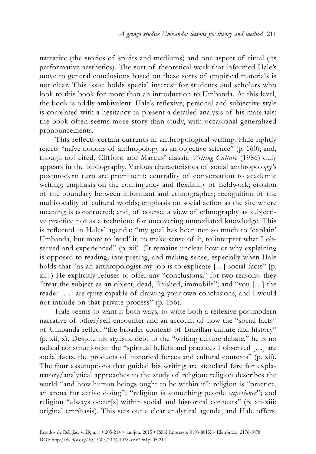narrative (the stories of spirits and mediums) and one aspect of ritual (its performative aesthetics). The sort of theoretical work that informed Hale's move to general conclusions based on these sorts of empirical materials is not clear. This issue holds special interest for students and scholars who look to this book for more than an introduction to Umbanda. At this level, the book is oddly ambivalent. Hale's reflexive, personal and subjective style is correlated with a hesitancy to present a detailed analysis of his materials: the book often seems more story than study, with occasional generalized pronouncements.

This reflects certain currents in anthropological writing. Hale rightly rejects "naïve notions of anthropology as an objective science" (p. 160); and, though not cited, Clifford and Marcus' classic *Writing Culture* (1986) duly appears in the bibliography. Various characteristics of social anthropology's postmodern turn are prominent: centrality of conversation to academic writing; emphasis on the contingency and flexibility of fieldwork; erosion of the boundary between informant and ethnographer; recognition of the multivocality of cultural worlds; emphasis on social action as the site where meaning is constructed; and, of course, a view of ethnography as subjective practice not as a technique for uncovering unmediated knowledge. This is reflected in Hales' agenda: "my goal has been not so much to 'explain' Umbanda, but more to 'read' it, to make sense of it, to interpret what I observed and experienced" (p. xii). (It remains unclear how or why explaining is opposed to reading, interpreting, and making sense, especially when Hale holds that "as an anthropologist my job is to explicate [...] social facts" [p. xii].) He explicitly refuses to offer any "conclusions," for two reasons: they "treat the subject as an object, dead, finished, immobile"; and "you […] the reader […] are quite capable of drawing your own conclusions, and I would not intrude on that private process" (p. 156).

Hale seems to want it both ways, to write both a reflexive postmodern narrative of other/self-encounter and an account of how the "social facts" of Umbanda reflect "the broader contexts of Brazilian culture and history" (p. xii, x). Despite his stylistic debt to the "writing culture debate," he is no radical constructionist: the "spiritual beliefs and practices I observed […] are social facts, the products of historical forces and cultural contexts" (p. xii). The four assumptions that guided his writing are standard fare for explanatory/analytical approaches to the study of religion: religion describes the world "and how human beings ought to be within it"; religion is "practice, an arena for active doing"; "religion is something people *experience*"; and religion "always occur[s] within social and historical contexts" (p. xii-xiii; original emphasis). This sets out a clear analytical agenda, and Hale offers,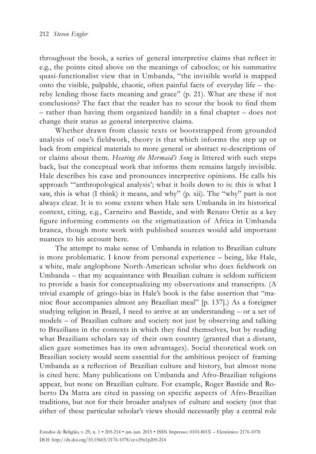throughout the book, a series of general interpretive claims that reflect it: e.g., the points cited above on the meanings of caboclos; or his summative quasi-functionalist view that in Umbanda, "the invisible world is mapped onto the visible, palpable, chaotic, often painful facts of everyday life – thereby lending those facts meaning and grace" (p. 21). What are these if not conclusions? The fact that the reader has to scour the book to find them – rather than having them organized handily in a final chapter – does not change their status as general interpretive claims.

Whether drawn from classic texts or bootstrapped from grounded analysis of one's fieldwork, theory is that which informs the step up or back from empirical materials to more general or abstract re-descriptions of or claims about them. *Hearing the Mermaid's Song* is littered with such steps back, but the conceptual work that informs them remains largely invisible. Hale describes his case and pronounces interpretive opinions. He calls his approach "'anthropological analysis'; what it boils down to is: this is what I saw, this is what (I think) it means, and why" (p. xii). The "why" part is not always clear. It is to some extent when Hale sets Umbanda in its historical context, citing, e.g., Carneiro and Bastide, and with Renato Ortiz as a key figure informing comments on the stigmatization of Africa in Umbanda branca, though more work with published sources would add important nuances to his account here.

The attempt to make sense of Umbanda in relation to Brazilian culture is more problematic. I know from personal experience – being, like Hale, a white, male anglophone North-American scholar who does fieldwork on Umbanda – that my acquaintance with Brazilian culture is seldom sufficient to provide a basis for conceptualizing my observations and transcripts. (A trivial example of gringo-bias in Hale's book is the false assertion that "manioc flour accompanies almost any Brazilian meal" [p. 137].) As a foreigner studying religion in Brazil, I need to arrive at an understanding – or a set of models – of Brazilian culture and society not just by observing and talking to Brazilians in the contexts in which they find themselves, but by reading what Brazilians scholars say of their own country (granted that a distant, alien gaze sometimes has its own advantages). Social theoretical work on Brazilian society would seem essential for the ambitious project of framing Umbanda as a reflection of Brazilian culture and history, but almost none is cited here. Many publications on Umbanda and Afro-Brazilian religions appear, but none on Brazilian culture. For example, Roger Bastide and Roberto Da Matta are cited in passing on specific aspects of Afro-Brazilian traditions, but not for their broader analyses of culture and society (not that either of these particular scholar's views should necessarily play a central role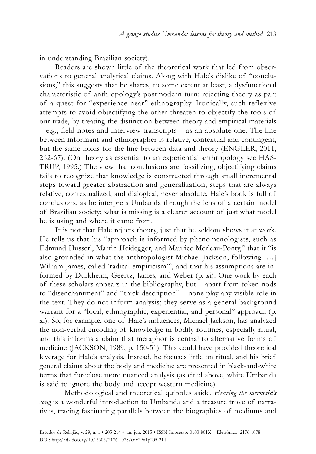in understanding Brazilian society).

Readers are shown little of the theoretical work that led from observations to general analytical claims. Along with Hale's dislike of "conclusions," this suggests that he shares, to some extent at least, a dysfunctional characteristic of anthropology's postmodern turn: rejecting theory as part of a quest for "experience-near" ethnography. Ironically, such reflexive attempts to avoid objectifying the other threaten to objectify the tools of our trade, by treating the distinction between theory and empirical materials – e.g., field notes and interview transcripts – as an absolute one. The line between informant and ethnographer is relative, contextual and contingent, but the same holds for the line between data and theory (ENGLER, 2011, 262-67). (On theory as essential to an experiential anthropology see HAS-TRUP, 1995.) The view that conclusions are fossilizing, objectifying claims fails to recognize that knowledge is constructed through small incremental steps toward greater abstraction and generalization, steps that are always relative, contextualized, and dialogical, never absolute. Hale's book is full of conclusions, as he interprets Umbanda through the lens of a certain model of Brazilian society; what is missing is a clearer account of just what model he is using and where it came from.

It is not that Hale rejects theory, just that he seldom shows it at work. He tells us that his "approach is informed by phenomenologists, such as Edmund Husserl, Martin Heidegger, and Maurice Merleau-Ponty," that it "is also grounded in what the anthropologist Michael Jackson, following […] William James, called 'radical empiricism'", and that his assumptions are informed by Durkheim, Geertz, James, and Weber (p. xi). One work by each of these scholars appears in the bibliography, but – apart from token nods to "disenchantment" and "thick description" – none play any visible role in the text. They do not inform analysis; they serve as a general background warrant for a "local, ethnographic, experiential, and personal" approach (p. xi). So, for example, one of Hale's influences, Michael Jackson, has analyzed the non-verbal encoding of knowledge in bodily routines, especially ritual, and this informs a claim that metaphor is central to alternative forms of medicine (JACKSON, 1989, p. 150-51). This could have provided theoretical leverage for Hale's analysis. Instead, he focuses little on ritual, and his brief general claims about the body and medicine are presented in black-and-white terms that foreclose more nuanced analysis (as cited above, white Umbanda is said to ignore the body and accept western medicine).

Methodological and theoretical quibbles aside, *Hearing the mermaid's song* is a wonderful introduction to Umbanda and a treasure trove of narratives, tracing fascinating parallels between the biographies of mediums and